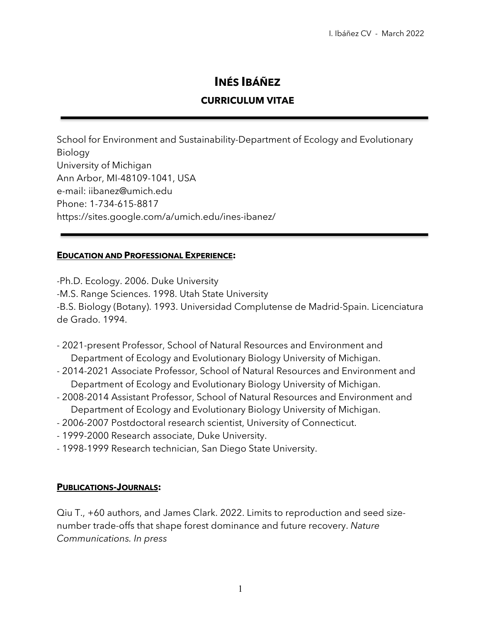# **INÉS IBÁÑEZ**

### **CURRICULUM VITAE**

School for Environment and Sustainability-Department of Ecology and Evolutionary Biology University of Michigan Ann Arbor, MI-48109-1041, USA e-mail: iibanez@umich.edu Phone: 1-734-615-8817 https://sites.google.com/a/umich.edu/ines-ibanez/

#### **EDUCATION AND PROFESSIONAL EXPERIENCE:**

-Ph.D. Ecology. 2006. Duke University -M.S. Range Sciences. 1998. Utah State University -B.S. Biology (Botany). 1993. Universidad Complutense de Madrid-Spain. Licenciatura de Grado. 1994.

- 2021-present Professor, School of Natural Resources and Environment and Department of Ecology and Evolutionary Biology University of Michigan.
- 2014-2021 Associate Professor, School of Natural Resources and Environment and Department of Ecology and Evolutionary Biology University of Michigan.
- 2008-2014 Assistant Professor, School of Natural Resources and Environment and Department of Ecology and Evolutionary Biology University of Michigan.
- 2006-2007 Postdoctoral research scientist, University of Connecticut.
- 1999-2000 Research associate, Duke University.
- 1998-1999 Research technician, San Diego State University.

#### **PUBLICATIONS-JOURNALS:**

Qiu T., +60 authors, and James Clark. 2022. Limits to reproduction and seed sizenumber trade-offs that shape forest dominance and future recovery. *Nature Communications. In press*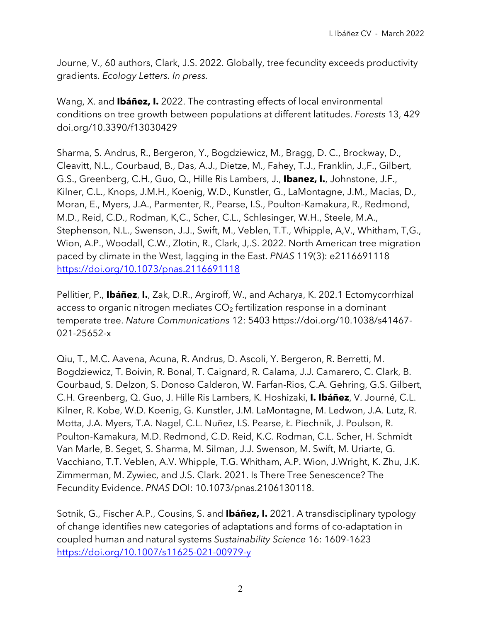Journe, V., 60 authors, Clark, J.S. 2022. Globally, tree fecundity exceeds productivity gradients. *Ecology Letters. In press.*

Wang, X. and **Ibáñez, I.** 2022. The contrasting effects of local environmental conditions on tree growth between populations at different latitudes. *Forests* 13, 429 doi.org/10.3390/f13030429

Sharma, S. Andrus, R., Bergeron, Y., Bogdziewicz, M., Bragg, D. C., Brockway, D., Cleavitt, N.L., Courbaud, B., Das, A.J., Dietze, M., Fahey, T.J., Franklin, J.,F., Gilbert, G.S., Greenberg, C.H., Guo, Q., Hille Ris Lambers, J., **Ibanez, I.**, Johnstone, J.F., Kilner, C.L., Knops, J.M.H., Koenig, W.D., Kunstler, G., LaMontagne, J.M., Macias, D., Moran, E., Myers, J.A., Parmenter, R., Pearse, I.S., Poulton-Kamakura, R., Redmond, M.D., Reid, C.D., Rodman, K,C., Scher, C.L., Schlesinger, W.H., Steele, M.A., Stephenson, N.L., Swenson, J.J., Swift, M., Veblen, T.T., Whipple, A,V., Whitham, T,G., Wion, A.P., Woodall, C.W., Zlotin, R., Clark, J,.S. 2022. North American tree migration paced by climate in the West, lagging in the East. *PNAS* 119(3): e2116691118 https://doi.org/10.1073/pnas.2116691118

Pellitier, P., **Ibáñez**, **I.**, Zak, D.R., Argiroff, W., and Acharya, K. 202.1 Ectomycorrhizal access to organic nitrogen mediates  $CO<sub>2</sub>$  fertilization response in a dominant temperate tree. *Nature Communications* 12: 5403 https://doi.org/10.1038/s41467- 021-25652-x

Qiu, T., M.C. Aavena, Acuna, R. Andrus, D. Ascoli, Y. Bergeron, R. Berretti, M. Bogdziewicz, T. Boivin, R. Bonal, T. Caignard, R. Calama, J.J. Camarero, C. Clark, B. Courbaud, S. Delzon, S. Donoso Calderon, W. Farfan-Rios, C.A. Gehring, G.S. Gilbert, C.H. Greenberg, Q. Guo, J. Hille Ris Lambers, K. Hoshizaki, **I. Ibáñez**, V. Journé, C.L. Kilner, R. Kobe, W.D. Koenig, G. Kunstler, J.M. LaMontagne, M. Ledwon, J.A. Lutz, R. Motta, J.A. Myers, T.A. Nagel, C.L. Nuñez, I.S. Pearse, Ł. Piechnik, J. Poulson, R. Poulton-Kamakura, M.D. Redmond, C.D. Reid, K.C. Rodman, C.L. Scher, H. Schmidt Van Marle, B. Seget, S. Sharma, M. Silman, J.J. Swenson, M. Swift, M. Uriarte, G. Vacchiano, T.T. Veblen, A.V. Whipple, T.G. Whitham, A.P. Wion, J.Wright, K. Zhu, J.K. Zimmerman, M. Zywiec, and J.S. Clark. 2021. Is There Tree Senescence? The Fecundity Evidence. *PNAS* DOI: 10.1073/pnas.2106130118.

Sotnik, G., Fischer A.P., Cousins, S. and **Ibáñez, I.** 2021. A transdisciplinary typology of change identifies new categories of adaptations and forms of co-adaptation in coupled human and natural systems *Sustainability Science* 16: 1609-1623 https://doi.org/10.1007/s11625-021-00979-y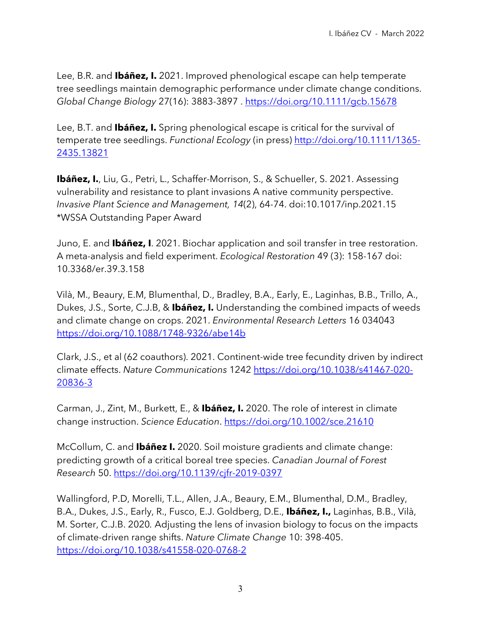Lee, B.R. and **Ibáñez, I.** 2021. Improved phenological escape can help temperate tree seedlings maintain demographic performance under climate change conditions. *Global Change Biology* 27(16): 3883-3897 . https://doi.org/10.1111/gcb.15678

Lee, B.T. and **Ibáñez, I.** Spring phenological escape is critical for the survival of temperate tree seedlings. *Functional Ecology* (in press) http://doi.org/10.1111/1365- 2435.13821

**Ibáñez, I.**, Liu, G., Petri, L., Schaffer-Morrison, S., & Schueller, S. 2021. Assessing vulnerability and resistance to plant invasions A native community perspective. *Invasive Plant Science and Management, 14*(2), 64-74. doi:10.1017/inp.2021.15 \*WSSA Outstanding Paper Award

Juno, E. and **Ibáñez, I**. 2021. Biochar application and soil transfer in tree restoration. A meta-analysis and field experiment. *Ecological Restoration* 49 (3): 158-167 doi: 10.3368/er.39.3.158

Vilà, M., Beaury, E.M, Blumenthal, D., Bradley, B.A., Early, E., Laginhas, B.B., Trillo, A., Dukes, J.S., Sorte, C.J.B, & **Ibáñez, I.** Understanding the combined impacts of weeds and climate change on crops. 2021. *Environmental Research Letters* 16 034043 https://doi.org/10.1088/1748-9326/abe14b

Clark, J.S., et al (62 coauthors). 2021. Continent-wide tree fecundity driven by indirect climate effects. *Nature Communications* 1242 https://doi.org/10.1038/s41467-020- 20836-3

Carman, J., Zint, M., Burkett, E., & **Ibáñez, I.** 2020. The role of interest in climate change instruction. *Science Education*. https://doi.org/10.1002/sce.21610

McCollum, C. and **Ibáñez I.** 2020. Soil moisture gradients and climate change: predicting growth of a critical boreal tree species. *Canadian Journal of Forest Research* 50. https://doi.org/10.1139/cjfr-2019-0397

Wallingford, P.D, Morelli, T.L., Allen, J.A., Beaury, E.M., Blumenthal, D.M., Bradley, B.A., Dukes, J.S., Early, R., Fusco, E.J. Goldberg, D.E., **Ibáñez, I.,** Laginhas, B.B., Vilà, M. Sorter, C.J.B. 2020*.* Adjusting the lens of invasion biology to focus on the impacts of climate-driven range shifts. *Nature Climate Change* 10: 398-405. https://doi.org/10.1038/s41558-020-0768-2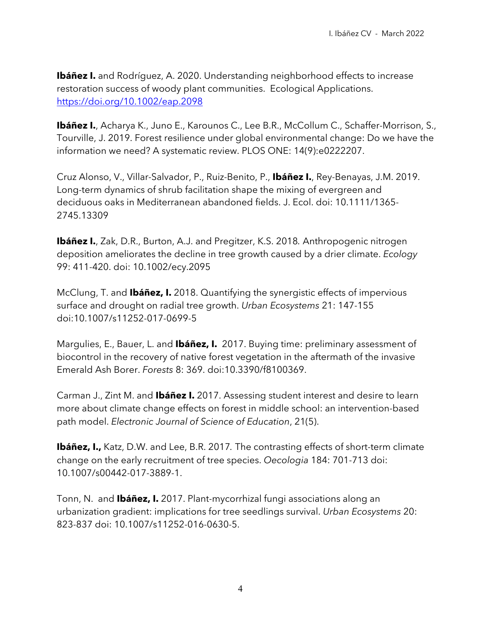**Ibáñez I.** and Rodríguez, A. 2020. Understanding neighborhood effects to increase restoration success of woody plant communities. Ecological Applications. https://doi.org/10.1002/eap.2098

**Ibáñez I.**, Acharya K., Juno E., Karounos C., Lee B.R., McCollum C., Schaffer-Morrison, S., Tourville, J. 2019. Forest resilience under global environmental change: Do we have the information we need? A systematic review. PLOS ONE: 14(9):e0222207.

Cruz Alonso, V., Villar-Salvador, P., Ruiz-Benito, P., **Ibáñez I.**, Rey-Benayas, J.M. 2019. Long-term dynamics of shrub facilitation shape the mixing of evergreen and deciduous oaks in Mediterranean abandoned fields. J. Ecol. doi: 10.1111/1365- 2745.13309

**Ibáñez I.**, Zak, D.R., Burton, A.J. and Pregitzer, K.S. 2018*.* Anthropogenic nitrogen deposition ameliorates the decline in tree growth caused by a drier climate. *Ecology* 99: 411-420. doi: 10.1002/ecy.2095

McClung, T. and **Ibáñez, I.** 2018. Quantifying the synergistic effects of impervious surface and drought on radial tree growth. *Urban Ecosystems* 21: 147-155 doi:10.1007/s11252-017-0699-5

Margulies, E., Bauer, L. and **Ibáñez, I.** 2017. Buying time: preliminary assessment of biocontrol in the recovery of native forest vegetation in the aftermath of the invasive Emerald Ash Borer. *Forests* 8: 369. doi:10.3390/f8100369.

Carman J., Zint M. and **Ibáñez I.** 2017. Assessing student interest and desire to learn more about climate change effects on forest in middle school: an intervention-based path model. *Electronic Journal of Science of Education*, 21(5).

**Ibáñez, I.,** Katz, D.W. and Lee, B.R. 2017*.* The contrasting effects of short-term climate change on the early recruitment of tree species. *Oecologia* 184: 701-713 doi: 10.1007/s00442-017-3889-1.

Tonn, N. and **Ibáñez, I.** 2017. Plant-mycorrhizal fungi associations along an urbanization gradient: implications for tree seedlings survival. *Urban Ecosystems* 20: 823-837 doi: 10.1007/s11252-016-0630-5.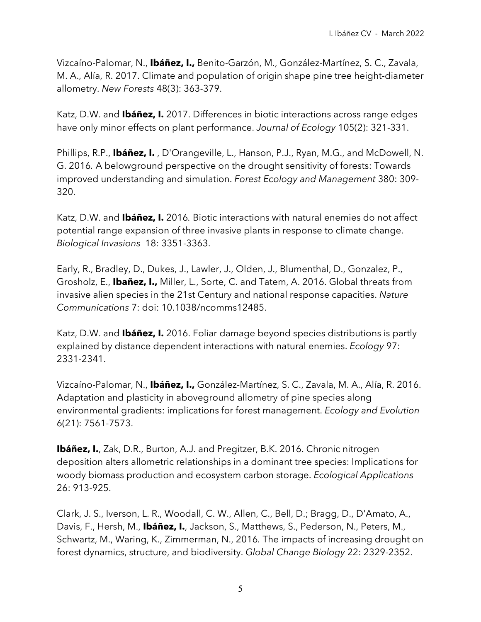Vizcaíno-Palomar, N., **Ibáñez, I.,** Benito-Garzón, M., González-Martínez, S. C., Zavala, M. A., Alía, R. 2017. Climate and population of origin shape pine tree height-diameter allometry. *New Forests* 48(3): 363-379.

Katz, D.W. and **Ibáñez, I.** 2017. Differences in biotic interactions across range edges have only minor effects on plant performance. *Journal of Ecology* 105(2): 321-331.

Phillips, R.P., **Ibáñez, I.** , D'Orangeville, L., Hanson, P.J., Ryan, M.G., and McDowell, N. G. 2016*.* A belowground perspective on the drought sensitivity of forests: Towards improved understanding and simulation. *Forest Ecology and Management* 380: 309- 320.

Katz, D.W. and **Ibáñez, I.** 2016*.* Biotic interactions with natural enemies do not affect potential range expansion of three invasive plants in response to climate change. *Biological Invasions* 18: 3351-3363.

Early, R., Bradley, D., Dukes, J., Lawler, J., Olden, J., Blumenthal, D., Gonzalez, P., Grosholz, E., **Ibañez, I.,** Miller, L., Sorte, C. and Tatem, A. 2016. Global threats from invasive alien species in the 21st Century and national response capacities. *Nature Communications* 7: doi: 10.1038/ncomms12485.

Katz, D.W. and **Ibáñez, I.** 2016. Foliar damage beyond species distributions is partly explained by distance dependent interactions with natural enemies. *Ecology* 97: 2331-2341.

Vizcaíno-Palomar, N., **Ibáñez, I.,** González-Martínez, S. C., Zavala, M. A., Alía, R. 2016. Adaptation and plasticity in aboveground allometry of pine species along environmental gradients: implications for forest management. *Ecology and Evolution*  6(21): 7561-7573.

**Ibáñez, I.**, Zak, D.R., Burton, A.J. and Pregitzer, B.K. 2016. Chronic nitrogen deposition alters allometric relationships in a dominant tree species: Implications for woody biomass production and ecosystem carbon storage. *Ecological Applications* 26: 913-925.

Clark, J. S., Iverson, L. R., Woodall, C. W., Allen, C., Bell, D.; Bragg, D., D'Amato, A., Davis, F., Hersh, M., **Ibáñez, I.**, Jackson, S., Matthews, S., Pederson, N., Peters, M., Schwartz, M., Waring, K., Zimmerman, N., 2016*.* The impacts of increasing drought on forest dynamics, structure, and biodiversity. *Global Change Biology* 22: 2329-2352.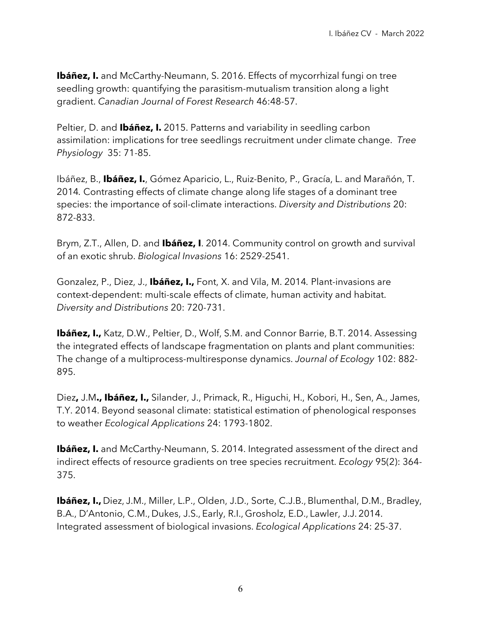**Ibáñez, I.** and McCarthy-Neumann, S. 2016. Effects of mycorrhizal fungi on tree seedling growth: quantifying the parasitism-mutualism transition along a light gradient. *Canadian Journal of Forest Research* 46:48-57.

Peltier, D. and **Ibáñez, I.** 2015. Patterns and variability in seedling carbon assimilation: implications for tree seedlings recruitment under climate change. *Tree Physiology* 35: 71-85.

Ibáñez, B., **Ibáñez, I.**, Gómez Aparicio, L., Ruiz-Benito, P., Gracía, L. and Marañón, T. 2014*.* Contrasting effects of climate change along life stages of a dominant tree species: the importance of soil-climate interactions. *Diversity and Distributions* 20: 872-833.

Brym, Z.T., Allen, D. and **Ibáñez, I**. 2014. Community control on growth and survival of an exotic shrub. *Biological Invasions* 16: 2529-2541.

Gonzalez, P., Diez, J., **Ibáñez, I.,** Font, X. and Vila, M. 2014*.* Plant-invasions are context-dependent: multi-scale effects of climate, human activity and habitat. *Diversity and Distributions* 20: 720-731.

**Ibáñez, I.,** Katz, D.W., Peltier, D., Wolf, S.M. and Connor Barrie, B.T. 2014. Assessing the integrated effects of landscape fragmentation on plants and plant communities: The change of a multiprocess-multiresponse dynamics. *Journal of Ecology* 102: 882- 895.

Diez**,** J.M**., Ibáñez, I.,** Silander, J., Primack, R., Higuchi, H., Kobori, H., Sen, A., James, T.Y. 2014. Beyond seasonal climate: statistical estimation of phenological responses to weather *Ecological Applications* 24: 1793-1802.

**Ibáñez, I.** and McCarthy-Neumann, S. 2014. Integrated assessment of the direct and indirect effects of resource gradients on tree species recruitment. *Ecology* 95(2): 364- 375.

**Ibáñez, I.,** Diez, J.M., Miller, L.P., Olden, J.D., Sorte, C.J.B., Blumenthal, D.M., Bradley, B.A., D'Antonio, C.M., Dukes, J.S., Early, R.I., Grosholz, E.D., Lawler, J.J. 2014. Integrated assessment of biological invasions. *Ecological Applications* 24: 25-37.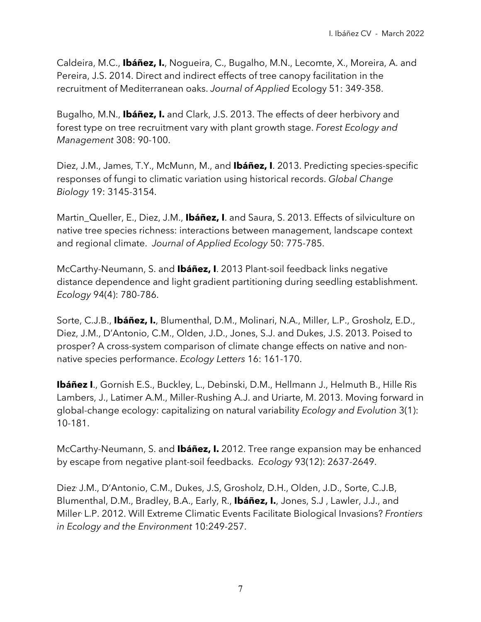Caldeira, M.C., **Ibáñez, I.**, Nogueira, C., Bugalho, M.N., Lecomte, X., Moreira, A. and Pereira, J.S. 2014. Direct and indirect effects of tree canopy facilitation in the recruitment of Mediterranean oaks. *Journal of Applied* Ecology 51: 349-358.

Bugalho, M.N., **Ibáñez, I.** and Clark, J.S. 2013. The effects of deer herbivory and forest type on tree recruitment vary with plant growth stage. *Forest Ecology and Management* 308: 90-100.

Diez, J.M., James, T.Y., McMunn, M., and **Ibáñez, I**. 2013. Predicting species-specific responses of fungi to climatic variation using historical records. *Global Change Biology* 19: 3145-3154.

Martin, Queller, E., Diez, J.M., **Ibáñez, I**. and Saura, S. 2013. Effects of silviculture on native tree species richness: interactions between management, landscape context and regional climate. *Journal of Applied Ecology* 50: 775-785.

McCarthy-Neumann, S. and **Ibáñez, I**. 2013 Plant-soil feedback links negative distance dependence and light gradient partitioning during seedling establishment. *Ecology* 94(4): 780-786.

Sorte, C.J.B., **Ibáñez, I.**, Blumenthal, D.M., Molinari, N.A., Miller, L.P., Grosholz, E.D., Diez, J.M., D'Antonio, C.M., Olden, J.D., Jones, S.J. and Dukes, J.S. 2013. Poised to prosper? A cross-system comparison of climate change effects on native and nonnative species performance. *Ecology Letters* 16: 161-170.

**Ibáñez I**., Gornish E.S., Buckley, L., Debinski, D.M., Hellmann J., Helmuth B., Hille Ris Lambers, J., Latimer A.M., Miller-Rushing A.J. and Uriarte, M. 2013. Moving forward in global-change ecology: capitalizing on natural variability *Ecology and Evolution* 3(1): 10-181.

McCarthy-Neumann, S. and **Ibáñez, I.** 2012. Tree range expansion may be enhanced by escape from negative plant-soil feedbacks. *Ecology* 93(12): 2637-2649.

Diez, J.M., D'Antonio, C.M., Dukes, J.S, Grosholz, D.H., Olden, J.D., Sorte, C.J.B, Blumenthal, D.M., Bradley, B.A., Early, R., **Ibáñez, I.**, Jones, S.J , Lawler, J.J., and Miller, L.P. 2012. Will Extreme Climatic Events Facilitate Biological Invasions? *Frontiers in Ecology and the Environment* 10:249-257.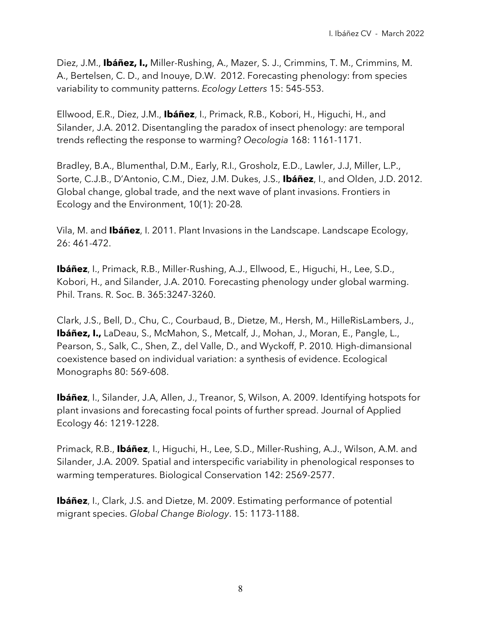Diez, J.M., **Ibáñez, I.,** Miller-Rushing, A., Mazer, S. J., Crimmins, T. M., Crimmins, M. A., Bertelsen, C. D., and Inouye, D.W. 2012. Forecasting phenology: from species variability to community patterns. *Ecology Letters* 15: 545-553.

Ellwood, E.R., Diez, J.M., **Ibáñez**, I., Primack, R.B., Kobori, H., Higuchi, H., and Silander, J.A. 2012. Disentangling the paradox of insect phenology: are temporal trends reflecting the response to warming? *Oecologia* 168: 1161-1171.

Bradley, B.A., Blumenthal, D.M., Early, R.I., Grosholz, E.D., Lawler, J.J, Miller, L.P., Sorte, C.J.B., D'Antonio, C.M., Diez, J.M. Dukes, J.S., **Ibáñez**, I., and Olden, J.D. 2012. Global change, global trade, and the next wave of plant invasions. Frontiers in Ecology and the Environment, 10(1): 20-28*.*

Vila, M. and **Ibáñez**, I. 2011. Plant Invasions in the Landscape. Landscape Ecology, 26: 461-472.

**Ibáñez**, I., Primack, R.B., Miller-Rushing, A.J., Ellwood, E., Higuchi, H., Lee, S.D., Kobori, H., and Silander, J.A. 2010*.* Forecasting phenology under global warming. Phil. Trans. R. Soc. B. 365:3247-3260.

Clark, J.S., Bell, D., Chu, C., Courbaud, B., Dietze, M., Hersh, M., HilleRisLambers, J., **Ibáñez, I.,** LaDeau, S., McMahon, S., Metcalf, J., Mohan, J., Moran, E., Pangle, L., Pearson, S., Salk, C., Shen, Z., del Valle, D., and Wyckoff, P. 2010*.* High-dimansional coexistence based on individual variation: a synthesis of evidence. Ecological Monographs 80: 569-608.

**Ibáñez**, I., Silander, J.A, Allen, J., Treanor, S, Wilson, A. 2009. Identifying hotspots for plant invasions and forecasting focal points of further spread. Journal of Applied Ecology 46: 1219-1228.

Primack, R.B., **Ibáñez**, I., Higuchi, H., Lee, S.D., Miller-Rushing, A.J., Wilson, A.M. and Silander, J.A. 2009*.* Spatial and interspecific variability in phenological responses to warming temperatures. Biological Conservation 142: 2569-2577.

**Ibáñez**, I., Clark, J.S. and Dietze, M. 2009. Estimating performance of potential migrant species. *Global Change Biology*. 15: 1173-1188.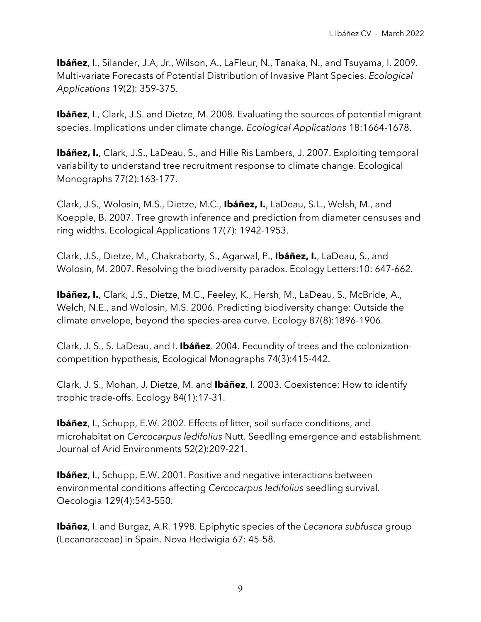**Ibáñez**, I., Silander, J.A, Jr., Wilson, A., LaFleur, N., Tanaka, N., and Tsuyama, I. 2009*.* Multi-variate Forecasts of Potential Distribution of Invasive Plant Species. *Ecological Applications* 19(2): 359-375.

**Ibáñez**, I., Clark, J.S. and Dietze, M. 2008. Evaluating the sources of potential migrant species. Implications under climate change*. Ecological Applications* 18:1664-1678.

**Ibáñez, I.**, Clark, J.S., LaDeau, S., and Hille Ris Lambers, J. 2007. Exploiting temporal variability to understand tree recruitment response to climate change. Ecological Monographs 77(2):163-177.

Clark, J.S., Wolosin, M.S., Dietze, M.C., **Ibáñez, I.**, LaDeau, S.L., Welsh, M., and Koepple, B. 2007. Tree growth inference and prediction from diameter censuses and ring widths. Ecological Applications 17(7): 1942-1953.

Clark, J.S., Dietze, M., Chakraborty, S., Agarwal, P., **Ibáñez, I.**, LaDeau, S., and Wolosin, M. 2007. Resolving the biodiversity paradox. Ecology Letters:10: 647-662*.*

**Ibáñez, I.**, Clark, J.S., Dietze, M.C., Feeley, K., Hersh, M., LaDeau, S., McBride, A., Welch, N.E., and Wolosin, M.S. 2006. Predicting biodiversity change: Outside the climate envelope, beyond the species-area curve. Ecology 87(8):1896-1906.

Clark, J. S., S. LaDeau, and I. **Ibáñez**. 2004. Fecundity of trees and the colonizationcompetition hypothesis, Ecological Monographs 74(3):415-442.

Clark, J. S., Mohan, J. Dietze, M. and **Ibáñez**, I. 2003. Coexistence: How to identify trophic trade-offs. Ecology 84(1):17-31.

**Ibáñez**, I., Schupp, E.W. 2002. Effects of litter, soil surface conditions, and microhabitat on *Cercocarpus ledifolius* Nutt. Seedling emergence and establishment. Journal of Arid Environments 52(2):209-221.

**Ibáñez**, I., Schupp, E.W. 2001. Positive and negative interactions between environmental conditions affecting *Cercocarpus ledifolius* seedling survival. Oecologia 129(4):543-550.

**Ibáñez**, I. and Burgaz, A.R. 1998. Epiphytic species of the *Lecanora subfusca* group (Lecanoraceae) in Spain. Nova Hedwigia 67: 45-58.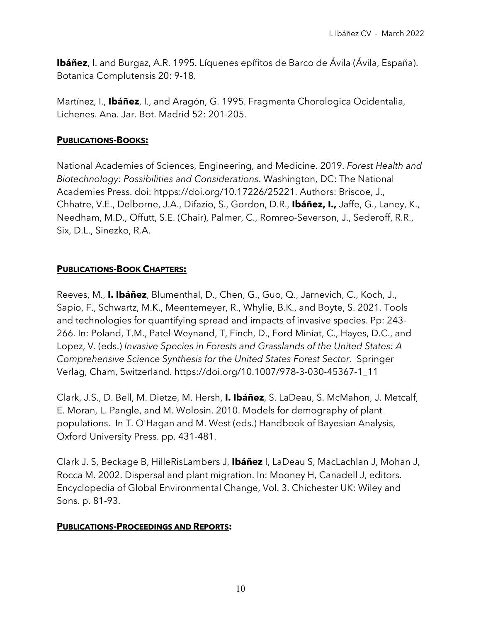**Ibáñez**, I. and Burgaz, A.R. 1995. Líquenes epífitos de Barco de Ávila (Ávila, España). Botanica Complutensis 20: 9-18.

Martínez, I., **Ibáñez**, I., and Aragón, G. 1995. Fragmenta Chorologica Ocidentalia, Lichenes. Ana. Jar. Bot. Madrid 52: 201-205.

#### **PUBLICATIONS-BOOKS:**

National Academies of Sciences, Engineering, and Medicine. 2019. *Forest Health and Biotechnology: Possibilities and Considerations*. Washington, DC: The National Academies Press. doi: htpps://doi.org/10.17226/25221. Authors: Briscoe, J., Chhatre, V.E., Delborne, J.A., Difazio, S., Gordon, D.R., **Ibáñez, I.,** Jaffe, G., Laney, K., Needham, M.D., Offutt, S.E. (Chair), Palmer, C., Romreo-Severson, J., Sederoff, R.R., Six, D.L., Sinezko, R.A.

## **PUBLICATIONS-BOOK CHAPTERS:**

Reeves, M., **I. Ibáñez**, Blumenthal, D., Chen, G., Guo, Q., Jarnevich, C., Koch, J., Sapio, F., Schwartz, M.K., Meentemeyer, R., Whylie, B.K., and Boyte, S. 2021. Tools and technologies for quantifying spread and impacts of invasive species. Pp: 243- 266. In: Poland, T.M., Patel-Weynand, T, Finch, D., Ford Miniat, C., Hayes, D.C., and Lopez, V. (eds.) *Invasive Species in Forests and Grasslands of the United States: A Comprehensive Science Synthesis for the United States Forest Sector*. Springer Verlag, Cham, Switzerland. https://doi.org/10.1007/978-3-030-45367-1\_11

Clark, J.S., D. Bell, M. Dietze, M. Hersh, **I. Ibáñez**, S. LaDeau, S. McMahon, J. Metcalf, E. Moran, L. Pangle, and M. Wolosin. 2010. Models for demography of plant populations. In T. O'Hagan and M. West (eds.) Handbook of Bayesian Analysis, Oxford University Press. pp. 431-481.

Clark J. S, Beckage B, HilleRisLambers J, **Ibáñez** I, LaDeau S, MacLachlan J, Mohan J, Rocca M. 2002. Dispersal and plant migration. In: Mooney H, Canadell J, editors. Encyclopedia of Global Environmental Change, Vol. 3. Chichester UK: Wiley and Sons. p. 81-93.

### **PUBLICATIONS-PROCEEDINGS AND REPORTS:**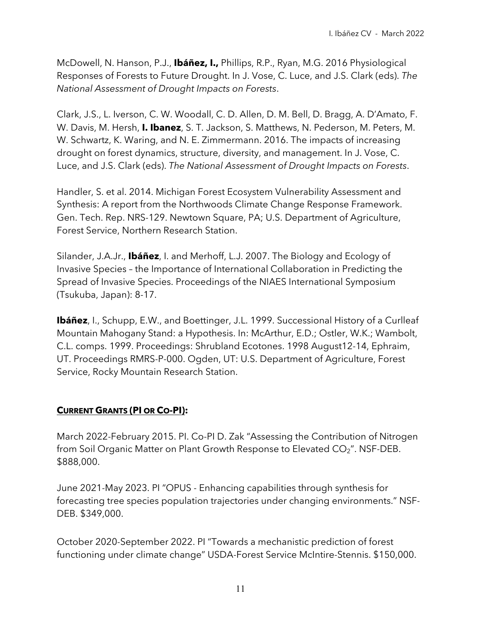McDowell, N. Hanson, P.J., **Ibáñez, I.,** Phillips, R.P., Ryan, M.G. 2016 Physiological Responses of Forests to Future Drought. In J. Vose, C. Luce, and J.S. Clark (eds). *The National Assessment of Drought Impacts on Forests*.

Clark, J.S., L. Iverson, C. W. Woodall, C. D. Allen, D. M. Bell, D. Bragg, A. D'Amato, F. W. Davis, M. Hersh, **I. Ibanez**, S. T. Jackson, S. Matthews, N. Pederson, M. Peters, M. W. Schwartz, K. Waring, and N. E. Zimmermann. 2016. The impacts of increasing drought on forest dynamics, structure, diversity, and management. In J. Vose, C. Luce, and J.S. Clark (eds). *The National Assessment of Drought Impacts on Forests*.

Handler, S. et al. 2014. Michigan Forest Ecosystem Vulnerability Assessment and Synthesis: A report from the Northwoods Climate Change Response Framework. Gen. Tech. Rep. NRS-129. Newtown Square, PA; U.S. Department of Agriculture, Forest Service, Northern Research Station.

Silander, J.A.Jr., **Ibáñez**, I. and Merhoff, L.J. 2007. The Biology and Ecology of Invasive Species – the Importance of International Collaboration in Predicting the Spread of Invasive Species. Proceedings of the NIAES International Symposium (Tsukuba, Japan): 8-17.

**Ibáñez**, I., Schupp, E.W., and Boettinger, J.L. 1999. Successional History of a Curlleaf Mountain Mahogany Stand: a Hypothesis. In: McArthur, E.D.; Ostler, W.K.; Wambolt, C.L. comps. 1999. Proceedings: Shrubland Ecotones. 1998 August12-14, Ephraim, UT. Proceedings RMRS-P-000. Ogden, UT: U.S. Department of Agriculture, Forest Service, Rocky Mountain Research Station.

# **CURRENT GRANTS (PI OR CO-PI):**

March 2022-February 2015. PI. Co-PI D. Zak "Assessing the Contribution of Nitrogen from Soil Organic Matter on Plant Growth Response to Elevated CO<sub>2</sub>". NSF-DEB. \$888,000.

June 2021-May 2023. PI "OPUS - Enhancing capabilities through synthesis for forecasting tree species population trajectories under changing environments." NSF-DEB. \$349,000.

October 2020-September 2022. PI "Towards a mechanistic prediction of forest functioning under climate change" USDA-Forest Service McIntire-Stennis. \$150,000.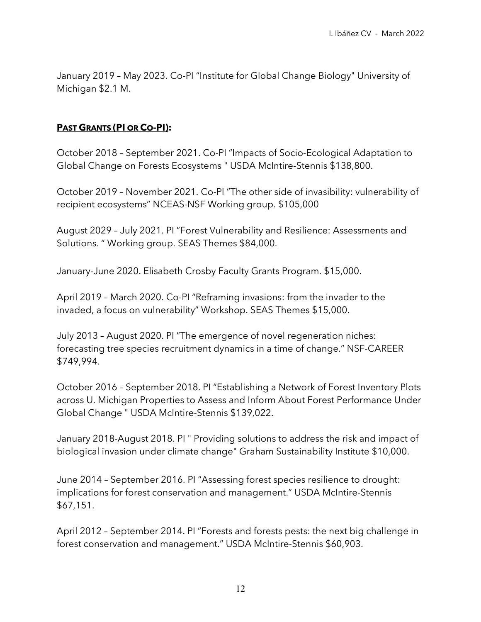January 2019 – May 2023. Co-PI "Institute for Global Change Biology" University of Michigan \$2.1 M.

#### **PAST GRANTS (PI OR CO-PI):**

October 2018 – September 2021. Co-PI "Impacts of Socio-Ecological Adaptation to Global Change on Forests Ecosystems " USDA McIntire-Stennis \$138,800.

October 2019 – November 2021. Co-PI "The other side of invasibility: vulnerability of recipient ecosystems" NCEAS-NSF Working group. \$105,000

August 2029 – July 2021. PI "Forest Vulnerability and Resilience: Assessments and Solutions. " Working group. SEAS Themes \$84,000.

January-June 2020. Elisabeth Crosby Faculty Grants Program. \$15,000.

April 2019 – March 2020. Co-PI "Reframing invasions: from the invader to the invaded, a focus on vulnerability" Workshop. SEAS Themes \$15,000.

July 2013 – August 2020. PI "The emergence of novel regeneration niches: forecasting tree species recruitment dynamics in a time of change." NSF-CAREER \$749,994.

October 2016 – September 2018. PI "Establishing a Network of Forest Inventory Plots across U. Michigan Properties to Assess and Inform About Forest Performance Under Global Change " USDA McIntire-Stennis \$139,022.

January 2018-August 2018. PI " Providing solutions to address the risk and impact of biological invasion under climate change" Graham Sustainability Institute \$10,000.

June 2014 – September 2016. PI "Assessing forest species resilience to drought: implications for forest conservation and management." USDA McIntire-Stennis \$67,151.

April 2012 – September 2014. PI "Forests and forests pests: the next big challenge in forest conservation and management." USDA McIntire-Stennis \$60,903.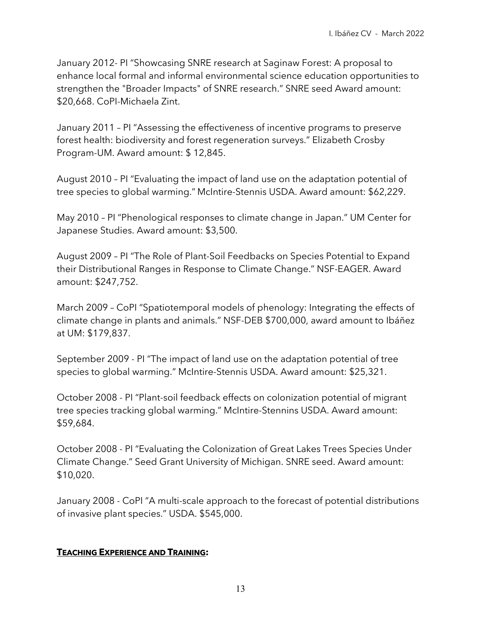January 2012- PI "Showcasing SNRE research at Saginaw Forest: A proposal to enhance local formal and informal environmental science education opportunities to strengthen the "Broader Impacts" of SNRE research." SNRE seed Award amount: \$20,668. CoPI-Michaela Zint.

January 2011 – PI "Assessing the effectiveness of incentive programs to preserve forest health: biodiversity and forest regeneration surveys." Elizabeth Crosby Program-UM. Award amount: \$ 12,845.

August 2010 – PI "Evaluating the impact of land use on the adaptation potential of tree species to global warming." McIntire-Stennis USDA. Award amount: \$62,229.

May 2010 – PI "Phenological responses to climate change in Japan." UM Center for Japanese Studies. Award amount: \$3,500.

August 2009 – PI "The Role of Plant-Soil Feedbacks on Species Potential to Expand their Distributional Ranges in Response to Climate Change." NSF-EAGER. Award amount: \$247,752.

March 2009 – CoPI "Spatiotemporal models of phenology: Integrating the effects of climate change in plants and animals." NSF-DEB \$700,000, award amount to Ibáñez at UM: \$179,837.

September 2009 - PI "The impact of land use on the adaptation potential of tree species to global warming." McIntire-Stennis USDA. Award amount: \$25,321.

October 2008 - PI "Plant-soil feedback effects on colonization potential of migrant tree species tracking global warming." McIntire-Stennins USDA. Award amount: \$59,684.

October 2008 - PI "Evaluating the Colonization of Great Lakes Trees Species Under Climate Change." Seed Grant University of Michigan. SNRE seed. Award amount: \$10,020.

January 2008 - CoPI "A multi-scale approach to the forecast of potential distributions of invasive plant species." USDA. \$545,000.

#### **TEACHING EXPERIENCE AND TRAINING:**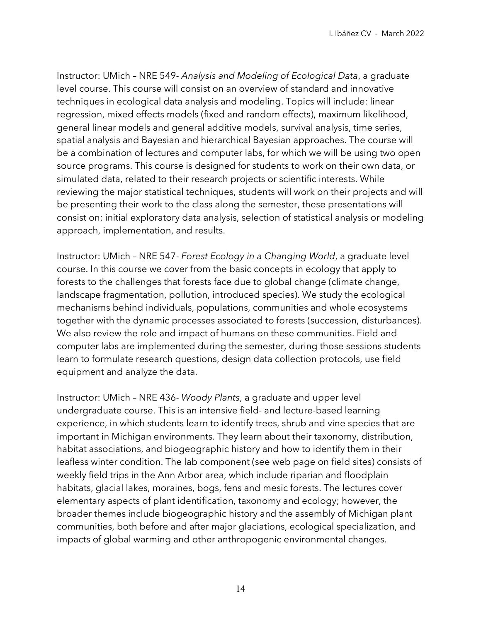Instructor: UMich – NRE 549- *Analysis and Modeling of Ecological Data*, a graduate level course. This course will consist on an overview of standard and innovative techniques in ecological data analysis and modeling. Topics will include: linear regression, mixed effects models (fixed and random effects), maximum likelihood, general linear models and general additive models, survival analysis, time series, spatial analysis and Bayesian and hierarchical Bayesian approaches. The course will be a combination of lectures and computer labs, for which we will be using two open source programs. This course is designed for students to work on their own data, or simulated data, related to their research projects or scientific interests. While reviewing the major statistical techniques, students will work on their projects and will be presenting their work to the class along the semester, these presentations will consist on: initial exploratory data analysis, selection of statistical analysis or modeling approach, implementation, and results.

Instructor: UMich – NRE 547- *Forest Ecology in a Changing World*, a graduate level course. In this course we cover from the basic concepts in ecology that apply to forests to the challenges that forests face due to global change (climate change, landscape fragmentation, pollution, introduced species). We study the ecological mechanisms behind individuals, populations, communities and whole ecosystems together with the dynamic processes associated to forests (succession, disturbances). We also review the role and impact of humans on these communities. Field and computer labs are implemented during the semester, during those sessions students learn to formulate research questions, design data collection protocols, use field equipment and analyze the data.

Instructor: UMich – NRE 436- *Woody Plants*, a graduate and upper level undergraduate course. This is an intensive field- and lecture-based learning experience, in which students learn to identify trees, shrub and vine species that are important in Michigan environments. They learn about their taxonomy, distribution, habitat associations, and biogeographic history and how to identify them in their leafless winter condition. The lab component (see web page on field sites) consists of weekly field trips in the Ann Arbor area, which include riparian and floodplain habitats, glacial lakes, moraines, bogs, fens and mesic forests. The lectures cover elementary aspects of plant identification, taxonomy and ecology; however, the broader themes include biogeographic history and the assembly of Michigan plant communities, both before and after major glaciations, ecological specialization, and impacts of global warming and other anthropogenic environmental changes.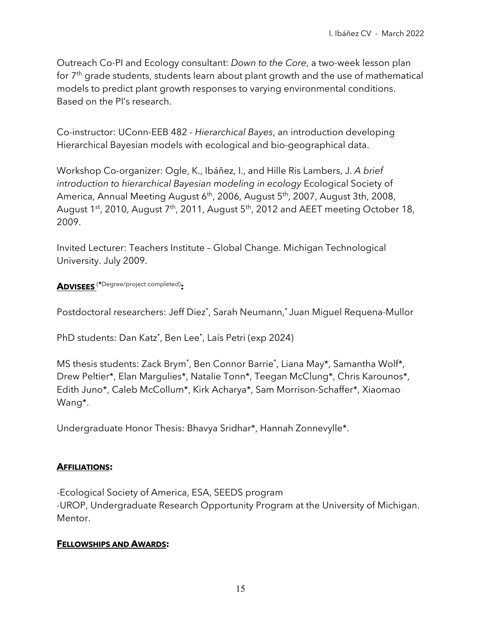Outreach Co-PI and Ecology consultant: *Down to the Core*, a two-week lesson plan for 7<sup>th</sup> grade students, students learn about plant growth and the use of mathematical models to predict plant growth responses to varying environmental conditions. Based on the PI's research.

Co-instructor: UConn-EEB 482 - *Hierarchical Bayes*, an introduction developing Hierarchical Bayesian models with ecological and bio-geographical data.

Workshop Co-organizer: Ogle, K., Ibáñez, I., and Hille Ris Lambers, J. *A brief introduction to hierarchical Bayesian modeling in ecology* Ecological Society of America, Annual Meeting August 6<sup>th</sup>, 2006, August 5<sup>th</sup>, 2007, August 3th, 2008, August 1st, 2010, August 7<sup>th</sup>, 2011, August 5<sup>th</sup>, 2012 and AEET meeting October 18, 2009.

Invited Lecturer: Teachers Institute – Global Change. Michigan Technological University. July 2009.

**ADVISEES** (**\***Degree/project completed)**:**

Postdoctoral researchers: Jeff Diez\* , Sarah Neumann, \* Juan Miguel Requena-Mullor

PhD students: Dan Katz\* , Ben Lee\* , Laís Petri (exp 2024)

MS thesis students: Zack Brym\* , Ben Connor Barrie\* , Liana May\*, Samantha Wolf\*, Drew Peltier\*, Elan Margulies\*, Natalie Tonn\*, Teegan McClung\*, Chris Karounos\*, Edith Juno\*, Caleb McCollum\*, Kirk Acharya\*, Sam Morrison-Schaffer\*, Xiaomao Wang\*.

Undergraduate Honor Thesis: Bhavya Sridhar\*, Hannah Zonnevylle\*.

#### **AFFILIATIONS:**

-Ecological Society of America, ESA, SEEDS program -UROP, Undergraduate Research Opportunity Program at the University of Michigan. Mentor.

#### **FELLOWSHIPS AND AWARDS:**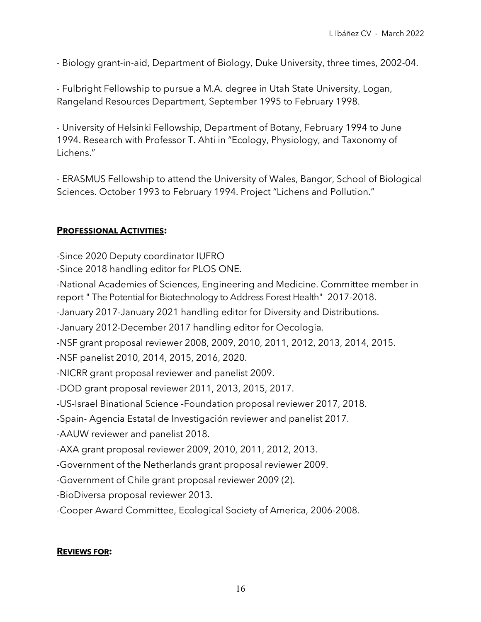- Biology grant-in-aid, Department of Biology, Duke University, three times, 2002-04.

- Fulbright Fellowship to pursue a M.A. degree in Utah State University, Logan, Rangeland Resources Department, September 1995 to February 1998.

- University of Helsinki Fellowship, Department of Botany, February 1994 to June 1994. Research with Professor T. Ahti in "Ecology, Physiology, and Taxonomy of Lichens."

- ERASMUS Fellowship to attend the University of Wales, Bangor, School of Biological Sciences. October 1993 to February 1994. Project "Lichens and Pollution."

### **PROFESSIONAL ACTIVITIES:**

-Since 2020 Deputy coordinator IUFRO

-Since 2018 handling editor for PLOS ONE.

-National Academies of Sciences, Engineering and Medicine. Committee member in report " The Potential for Biotechnology to Address Forest Health" 2017-2018.

-January 2017-January 2021 handling editor for Diversity and Distributions.

-January 2012-December 2017 handling editor for Oecologia.

-NSF grant proposal reviewer 2008, 2009, 2010, 2011, 2012, 2013, 2014, 2015.

-NSF panelist 2010, 2014, 2015, 2016, 2020.

-NICRR grant proposal reviewer and panelist 2009.

-DOD grant proposal reviewer 2011, 2013, 2015, 2017.

-US-Israel Binational Science -Foundation proposal reviewer 2017, 2018.

-Spain- Agencia Estatal de Investigación reviewer and panelist 2017.

-AAUW reviewer and panelist 2018.

-AXA grant proposal reviewer 2009, 2010, 2011, 2012, 2013.

-Government of the Netherlands grant proposal reviewer 2009.

-Government of Chile grant proposal reviewer 2009 (2).

-BioDiversa proposal reviewer 2013.

-Cooper Award Committee, Ecological Society of America, 2006-2008.

#### **REVIEWS FOR:**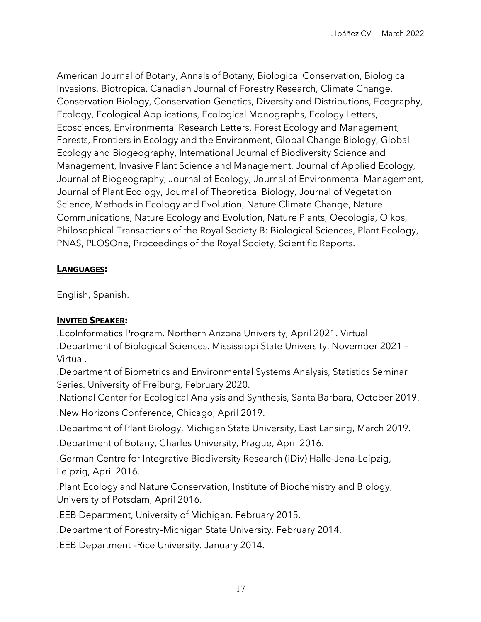American Journal of Botany, Annals of Botany, Biological Conservation, Biological Invasions, Biotropica, Canadian Journal of Forestry Research, Climate Change, Conservation Biology, Conservation Genetics, Diversity and Distributions, Ecography, Ecology, Ecological Applications, Ecological Monographs, Ecology Letters, Ecosciences, Environmental Research Letters, Forest Ecology and Management, Forests, Frontiers in Ecology and the Environment, Global Change Biology, Global Ecology and Biogeography, International Journal of Biodiversity Science and Management, Invasive Plant Science and Management, Journal of Applied Ecology, Journal of Biogeography, Journal of Ecology, Journal of Environmental Management, Journal of Plant Ecology, Journal of Theoretical Biology, Journal of Vegetation Science, Methods in Ecology and Evolution, Nature Climate Change, Nature Communications, Nature Ecology and Evolution, Nature Plants, Oecologia, Oikos, Philosophical Transactions of the Royal Society B: Biological Sciences, Plant Ecology, PNAS, PLOSOne, Proceedings of the Royal Society, Scientific Reports.

### **LANGUAGES:**

English, Spanish.

#### **INVITED SPEAKER:**

.EcoInformatics Program. Northern Arizona University, April 2021. Virtual .Department of Biological Sciences. Mississippi State University. November 2021 – Virtual.

.Department of Biometrics and Environmental Systems Analysis, Statistics Seminar Series. University of Freiburg, February 2020.

.National Center for Ecological Analysis and Synthesis, Santa Barbara, October 2019.

.New Horizons Conference, Chicago, April 2019.

.Department of Plant Biology, Michigan State University, East Lansing, March 2019.

.Department of Botany, Charles University, Prague, April 2016.

.German Centre for Integrative Biodiversity Research (iDiv) Halle-Jena-Leipzig, Leipzig, April 2016.

.Plant Ecology and Nature Conservation, Institute of Biochemistry and Biology, University of Potsdam, April 2016.

.EEB Department, University of Michigan. February 2015.

.Department of Forestry–Michigan State University. February 2014.

.EEB Department –Rice University. January 2014.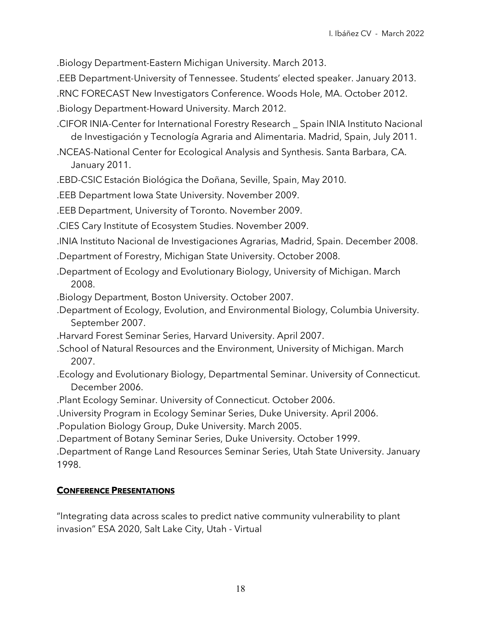.Biology Department-Eastern Michigan University. March 2013.

.EEB Department-University of Tennessee. Students' elected speaker. January 2013.

.RNC FORECAST New Investigators Conference. Woods Hole, MA. October 2012.

.Biology Department-Howard University. March 2012.

.CIFOR INIA-Center for International Forestry Research \_ Spain INIA Instituto Nacional de Investigación y Tecnología Agraria and Alimentaria. Madrid, Spain, July 2011.

.NCEAS-National Center for Ecological Analysis and Synthesis. Santa Barbara, CA. January 2011.

.EBD-CSIC Estación Biológica the Doñana, Seville, Spain, May 2010.

.EEB Department Iowa State University. November 2009.

.EEB Department, University of Toronto. November 2009.

.CIES Cary Institute of Ecosystem Studies. November 2009.

.INIA Instituto Nacional de Investigaciones Agrarias, Madrid, Spain. December 2008.

- .Department of Forestry, Michigan State University. October 2008.
- .Department of Ecology and Evolutionary Biology, University of Michigan. March 2008.

.Biology Department, Boston University. October 2007.

- .Department of Ecology, Evolution, and Environmental Biology, Columbia University. September 2007.
- .Harvard Forest Seminar Series, Harvard University. April 2007.
- .School of Natural Resources and the Environment, University of Michigan. March 2007.
- .Ecology and Evolutionary Biology, Departmental Seminar. University of Connecticut. December 2006.

.Plant Ecology Seminar. University of Connecticut. October 2006.

.University Program in Ecology Seminar Series, Duke University. April 2006.

.Population Biology Group, Duke University. March 2005.

.Department of Botany Seminar Series, Duke University. October 1999.

.Department of Range Land Resources Seminar Series, Utah State University. January 1998.

### **CONFERENCE PRESENTATIONS**

"Integrating data across scales to predict native community vulnerability to plant invasion" ESA 2020, Salt Lake City, Utah - Virtual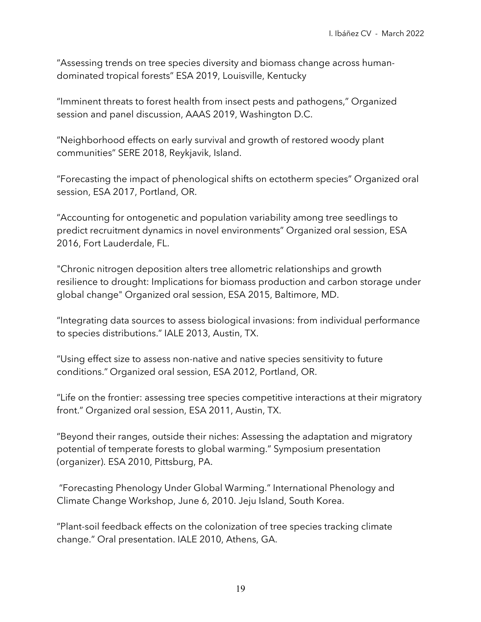"Assessing trends on tree species diversity and biomass change across humandominated tropical forests" ESA 2019, Louisville, Kentucky

"Imminent threats to forest health from insect pests and pathogens," Organized session and panel discussion, AAAS 2019, Washington D.C.

"Neighborhood effects on early survival and growth of restored woody plant communities" SERE 2018, Reykjavik, Island.

"Forecasting the impact of phenological shifts on ectotherm species" Organized oral session, ESA 2017, Portland, OR.

"Accounting for ontogenetic and population variability among tree seedlings to predict recruitment dynamics in novel environments" Organized oral session, ESA 2016, Fort Lauderdale, FL.

"Chronic nitrogen deposition alters tree allometric relationships and growth resilience to drought: Implications for biomass production and carbon storage under global change" Organized oral session, ESA 2015, Baltimore, MD.

"Integrating data sources to assess biological invasions: from individual performance to species distributions." IALE 2013, Austin, TX.

"Using effect size to assess non-native and native species sensitivity to future conditions." Organized oral session, ESA 2012, Portland, OR.

"Life on the frontier: assessing tree species competitive interactions at their migratory front." Organized oral session, ESA 2011, Austin, TX.

"Beyond their ranges, outside their niches: Assessing the adaptation and migratory potential of temperate forests to global warming." Symposium presentation (organizer). ESA 2010, Pittsburg, PA.

"Forecasting Phenology Under Global Warming." International Phenology and Climate Change Workshop, June 6, 2010. Jeju Island, South Korea.

"Plant-soil feedback effects on the colonization of tree species tracking climate change." Oral presentation. IALE 2010, Athens, GA.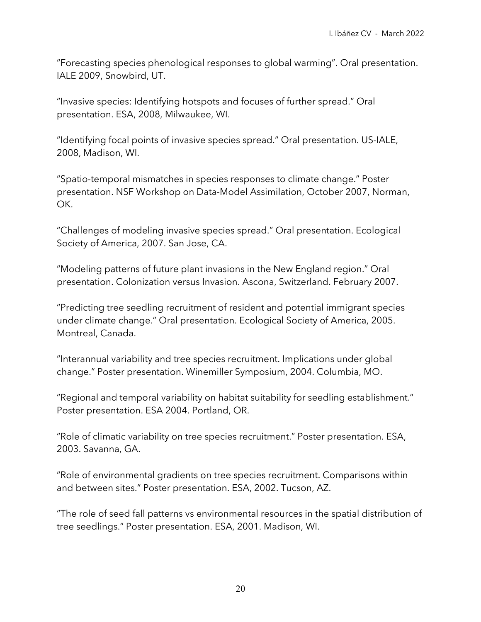"Forecasting species phenological responses to global warming". Oral presentation. IALE 2009, Snowbird, UT.

"Invasive species: Identifying hotspots and focuses of further spread." Oral presentation. ESA, 2008, Milwaukee, WI.

"Identifying focal points of invasive species spread." Oral presentation. US-IALE, 2008, Madison, WI.

"Spatio-temporal mismatches in species responses to climate change." Poster presentation. NSF Workshop on Data-Model Assimilation, October 2007, Norman, OK.

"Challenges of modeling invasive species spread." Oral presentation. Ecological Society of America, 2007. San Jose, CA.

"Modeling patterns of future plant invasions in the New England region." Oral presentation. Colonization versus Invasion. Ascona, Switzerland. February 2007.

"Predicting tree seedling recruitment of resident and potential immigrant species under climate change." Oral presentation. Ecological Society of America, 2005. Montreal, Canada.

"Interannual variability and tree species recruitment. Implications under global change." Poster presentation. Winemiller Symposium, 2004. Columbia, MO.

"Regional and temporal variability on habitat suitability for seedling establishment." Poster presentation. ESA 2004. Portland, OR.

"Role of climatic variability on tree species recruitment." Poster presentation. ESA, 2003. Savanna, GA.

"Role of environmental gradients on tree species recruitment. Comparisons within and between sites." Poster presentation. ESA, 2002. Tucson, AZ.

"The role of seed fall patterns vs environmental resources in the spatial distribution of tree seedlings." Poster presentation. ESA, 2001. Madison, WI.